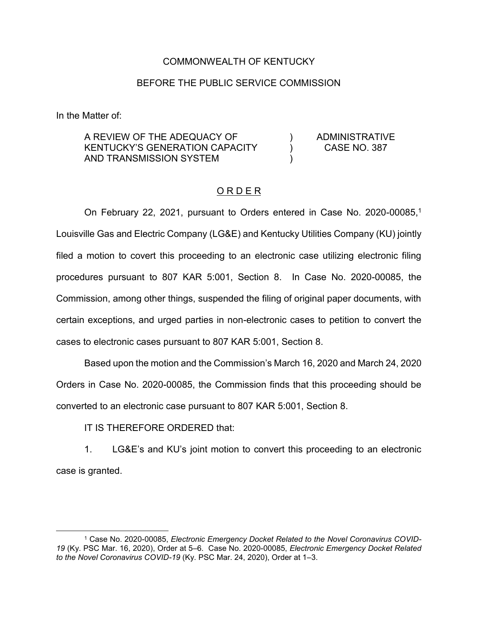## COMMONWEALTH OF KENTUCKY

## BEFORE THE PUBLIC SERVICE COMMISSION

 $\lambda$ ) )

In the Matter of:

A REVIEW OF THE ADEQUACY OF KENTUCKY'S GENERATION CAPACITY AND TRANSMISSION SYSTEM

ADMINISTRATIVE CASE NO. 387

## O R D E R

On February 22, 2021, pursuant to Orders entered in Case No. 2020-00085,1 Louisville Gas and Electric Company (LG&E) and Kentucky Utilities Company (KU) jointly filed a motion to covert this proceeding to an electronic case utilizing electronic filing procedures pursuant to 807 KAR 5:001, Section 8. In Case No. 2020-00085, the Commission, among other things, suspended the filing of original paper documents, with certain exceptions, and urged parties in non-electronic cases to petition to convert the cases to electronic cases pursuant to 807 KAR 5:001, Section 8.

Based upon the motion and the Commission's March 16, 2020 and March 24, 2020 Orders in Case No. 2020-00085, the Commission finds that this proceeding should be converted to an electronic case pursuant to 807 KAR 5:001, Section 8.

IT IS THEREFORE ORDERED that:

1. LG&E's and KU's joint motion to convert this proceeding to an electronic case is granted.

 $\overline{\phantom{a}}$ <sup>1</sup> Case No. 2020-00085, *Electronic Emergency Docket Related to the Novel Coronavirus COVID-19* (Ky. PSC Mar. 16, 2020), Order at 5–6. Case No. 2020-00085, *Electronic Emergency Docket Related to the Novel Coronavirus COVID-19* (Ky. PSC Mar. 24, 2020), Order at 1–3.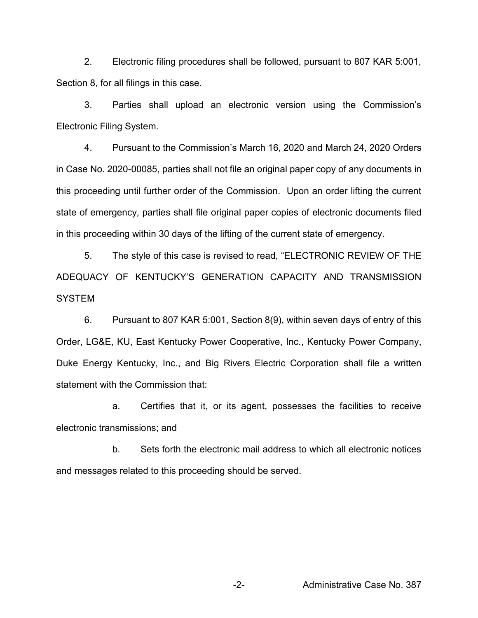2. Electronic filing procedures shall be followed, pursuant to 807 KAR 5:001, Section 8, for all filings in this case.

3. Parties shall upload an electronic version using the Commission's Electronic Filing System.

4. Pursuant to the Commission's March 16, 2020 and March 24, 2020 Orders in Case No. 2020-00085, parties shall not file an original paper copy of any documents in this proceeding until further order of the Commission. Upon an order lifting the current state of emergency, parties shall file original paper copies of electronic documents filed in this proceeding within 30 days of the lifting of the current state of emergency.

5. The style of this case is revised to read, "ELECTRONIC REVIEW OF THE ADEQUACY OF KENTUCKY'S GENERATION CAPACITY AND TRANSMISSION **SYSTEM** 

6. Pursuant to 807 KAR 5:001, Section 8(9), within seven days of entry of this Order, LG&E, KU, East Kentucky Power Cooperative, Inc., Kentucky Power Company, Duke Energy Kentucky, Inc., and Big Rivers Electric Corporation shall file a written statement with the Commission that:

a. Certifies that it, or its agent, possesses the facilities to receive electronic transmissions; and

b. Sets forth the electronic mail address to which all electronic notices and messages related to this proceeding should be served.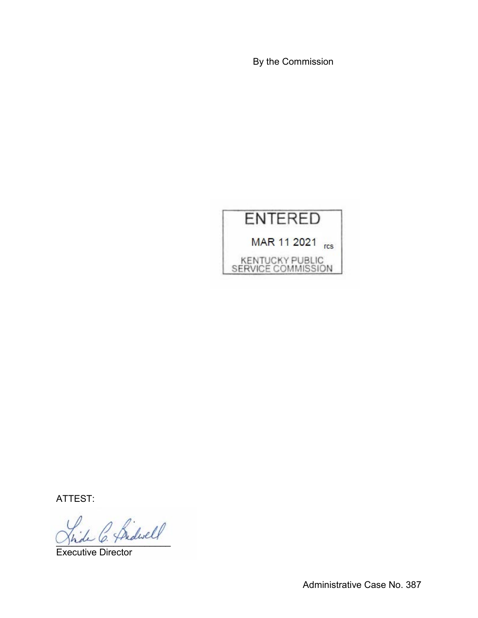By the Commission

## **ENTERED** MAR 11 2021 rcs KENTUCKY PUBLIC<br>SERVICE COMMISSION

ATTEST:

Le C. Sidwell

Executive Director

Administrative Case No. 387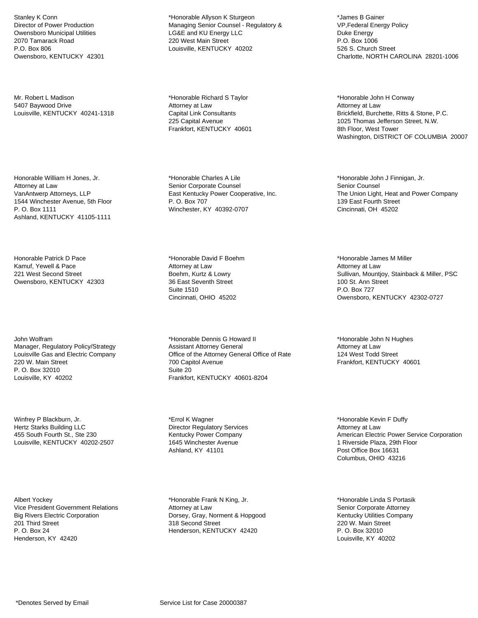Stanley K Conn Director of Power Production Owensboro Municipal Utilities 2070 Tamarack Road P.O. Box 806 Owensboro, KENTUCKY 42301

Mr. Robert L Madison 5407 Baywood Drive Louisville, KENTUCKY 40241-1318

Honorable William H Jones, Jr. Attorney at Law VanAntwerp Attorneys, LLP 1544 Winchester Avenue, 5th Floor P. O. Box 1111 Ashland, KENTUCKY 41105-1111

Honorable Patrick D Pace Kamuf, Yewell & Pace 221 West Second Street Owensboro, KENTUCKY 42303

John Wolfram Manager, Regulatory Policy/Strategy Louisville Gas and Electric Company 220 W. Main Street P. O. Box 32010 Louisville, KY 40202

Winfrey P Blackburn, Jr. Hertz Starks Building LLC 455 South Fourth St., Ste 230 Louisville, KENTUCKY 40202-2507

Albert Yockey Vice President Government Relations Big Rivers Electric Corporation 201 Third Street P. O. Box 24 Henderson, KY 42420

\*Honorable Allyson K Sturgeon Managing Senior Counsel - Regulatory & LG&E and KU Energy LLC 220 West Main Street Louisville, KENTUCKY 40202

\*Honorable Richard S Taylor Attorney at Law Capital Link Consultants 225 Capital Avenue Frankfort, KENTUCKY 40601

\*Honorable Charles A Lile Senior Corporate Counsel East Kentucky Power Cooperative, Inc. P. O. Box 707 Winchester, KY 40392-0707

\*Honorable David F Boehm Attorney at Law Boehm, Kurtz & Lowry 36 East Seventh Street Suite 1510 Cincinnati, OHIO 45202

\*Honorable Dennis G Howard II Assistant Attorney General Office of the Attorney General Office of Rate 700 Capitol Avenue Suite 20 Frankfort, KENTUCKY 40601-8204

\*Errol K Wagner Director Regulatory Services Kentucky Power Company 1645 Winchester Avenue Ashland, KY 41101

\*Honorable Frank N King, Jr. Attorney at Law Dorsey, Gray, Norment & Hopgood 318 Second Street Henderson, KENTUCKY 42420

\*James B Gainer VP,Federal Energy Policy Duke Energy P.O. Box 1006 526 S. Church Street Charlotte, NORTH CAROLINA 28201-1006

\*Honorable John H Conway Attorney at Law Brickfield, Burchette, Ritts & Stone, P.C. 1025 Thomas Jefferson Street, N.W. 8th Floor, West Tower Washington, DISTRICT OF COLUMBIA 20007

\*Honorable John J Finnigan, Jr. Senior Counsel The Union Light, Heat and Power Company 139 East Fourth Street Cincinnati, OH 45202

\*Honorable James M Miller Attorney at Law Sullivan, Mountjoy, Stainback & Miller, PSC 100 St. Ann Street P.O. Box 727 Owensboro, KENTUCKY 42302-0727

\*Honorable John N Hughes Attorney at Law 124 West Todd Street Frankfort, KENTUCKY 40601

\*Honorable Kevin F Duffy Attorney at Law American Electric Power Service Corporation 1 Riverside Plaza, 29th Floor Post Office Box 16631 Columbus, OHIO 43216

\*Honorable Linda S Portasik Senior Corporate Attorney Kentucky Utilities Company 220 W. Main Street P. O. Box 32010 Louisville, KY 40202